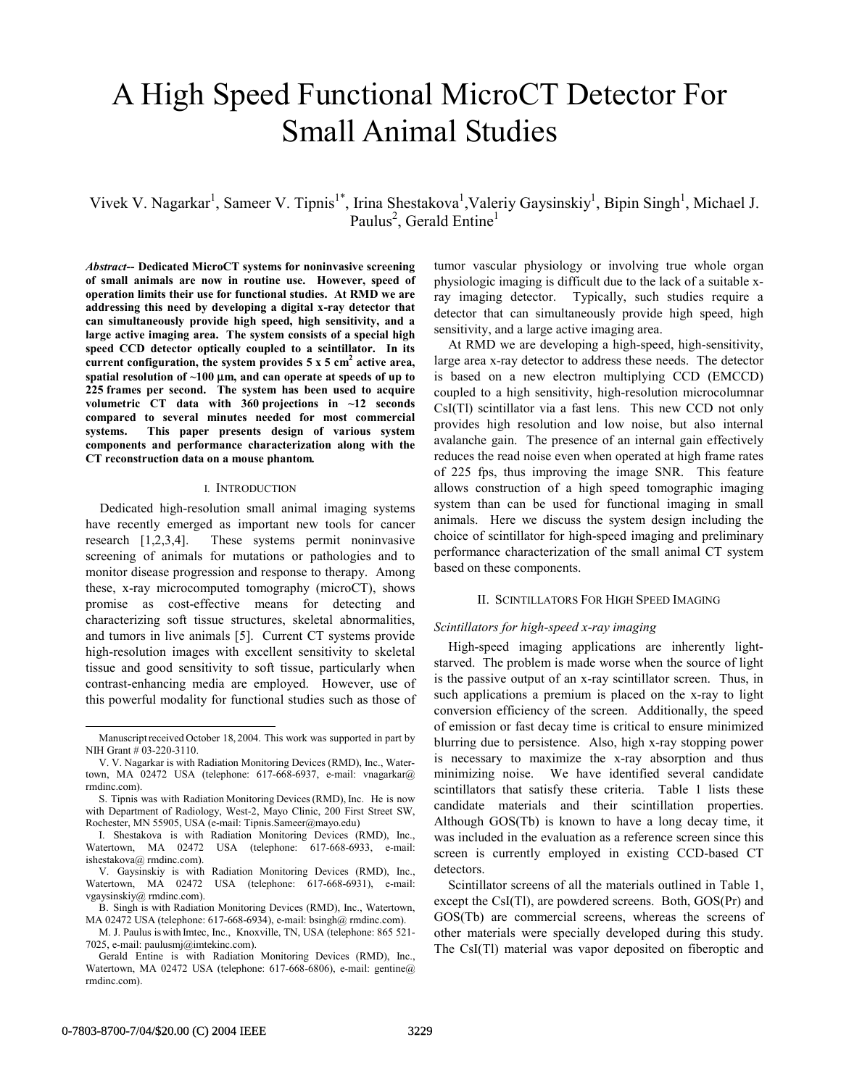# A High Speed Functional MicroCT Detector For Small Animal Studies

Vivek V. Nagarkar<sup>1</sup>, Sameer V. Tipnis<sup>1\*</sup>, Irina Shestakova<sup>1</sup>, Valeriy Gaysinskiy<sup>1</sup>, Bipin Singh<sup>1</sup>, Michael J. Paulus<sup>2</sup>, Gerald Entine<sup>1</sup>

*Abstract***-- Dedicated MicroCT systems for noninvasive screening of small animals are now in routine use. However, speed of operation limits their use for functional studies. At RMD we are addressing this need by developing a digital x-ray detector that can simultaneously provide high speed, high sensitivity, and a large active imaging area. The system consists of a special high speed CCD detector optically coupled to a scintillator. In its**  current configuration, the system provides  $5 \times 5$  cm<sup>2</sup> active area, **spatial resolution of ~100** µ**m, and can operate at speeds of up to 225 frames per second. The system has been used to acquire volumetric CT data with 360 projections in ~12 seconds compared to several minutes needed for most commercial systems. This paper presents design of various system components and performance characterization along with the CT reconstruction data on a mouse phantom***.*

#### I. INTRODUCTION

Dedicated high-resolution small animal imaging systems have recently emerged as important new tools for cancer research [1,2,3,4]. These systems permit noninvasive screening of animals for mutations or pathologies and to monitor disease progression and response to therapy. Among these, x-ray microcomputed tomography (microCT), shows promise as cost-effective means for detecting and characterizing soft tissue structures, skeletal abnormalities, and tumors in live animals [5]. Current CT systems provide high-resolution images with excellent sensitivity to skeletal tissue and good sensitivity to soft tissue, particularly when contrast-enhancing media are employed. However, use of this powerful modality for functional studies such as those of tumor vascular physiology or involving true whole organ physiologic imaging is difficult due to the lack of a suitable xray imaging detector. Typically, such studies require a detector that can simultaneously provide high speed, high sensitivity, and a large active imaging area.

At RMD we are developing a high-speed, high-sensitivity, large area x-ray detector to address these needs. The detector is based on a new electron multiplying CCD (EMCCD) coupled to a high sensitivity, high-resolution microcolumnar CsI(Tl) scintillator via a fast lens. This new CCD not only provides high resolution and low noise, but also internal avalanche gain. The presence of an internal gain effectively reduces the read noise even when operated at high frame rates of 225 fps, thus improving the image SNR. This feature allows construction of a high speed tomographic imaging system than can be used for functional imaging in small animals. Here we discuss the system design including the choice of scintillator for high-speed imaging and preliminary performance characterization of the small animal CT system based on these components.

# II. SCINTILLATORS FOR HIGH SPEED IMAGING

# *Scintillators for high-speed x-ray imaging*

High-speed imaging applications are inherently lightstarved. The problem is made worse when the source of light is the passive output of an x-ray scintillator screen. Thus, in such applications a premium is placed on the x-ray to light conversion efficiency of the screen. Additionally, the speed of emission or fast decay time is critical to ensure minimized blurring due to persistence. Also, high x-ray stopping power is necessary to maximize the x-ray absorption and thus minimizing noise. We have identified several candidate scintillators that satisfy these criteria. Table 1 lists these candidate materials and their scintillation properties. Although GOS(Tb) is known to have a long decay time, it was included in the evaluation as a reference screen since this screen is currently employed in existing CCD-based CT detectors.

Scintillator screens of all the materials outlined in Table 1, except the CsI(Tl), are powdered screens. Both, GOS(Pr) and GOS(Tb) are commercial screens, whereas the screens of other materials were specially developed during this study. The CsI(Tl) material was vapor deposited on fiberoptic and

Manuscript received October 18, 2004. This work was supported in part by NIH Grant # 03-220-3110.

V. V. Nagarkar is with Radiation Monitoring Devices (RMD), Inc., Watertown, MA 02472 USA (telephone: 617-668-6937, e-mail: vnagarkar@ rmdinc.com).

S. Tipnis was with Radiation Monitoring Devices (RMD), Inc. He is now with Department of Radiology, West-2, Mayo Clinic, 200 First Street SW, Rochester, MN 55905, USA (e-mail: Tipnis.Sameer@mayo.edu)

I. Shestakova is with Radiation Monitoring Devices (RMD), Inc., Watertown, MA 02472 USA (telephone: 617-668-6933, e-mail: ishestakova@ rmdinc.com).

V. Gaysinskiy is with Radiation Monitoring Devices (RMD), Inc., Watertown, MA 02472 USA (telephone: 617-668-6931), e-mail: vgaysinskiy@ rmdinc.com).

B. Singh is with Radiation Monitoring Devices (RMD), Inc., Watertown, MA 02472 USA (telephone: 617-668-6934), e-mail: bsingh@ rmdinc.com).

M. J. Paulus is with Imtec, Inc., Knoxville, TN, USA (telephone: 865 521- 7025, e-mail: paulusmj@imtekinc.com).

Gerald Entine is with Radiation Monitoring Devices (RMD), Inc., Watertown, MA 02472 USA (telephone: 617-668-6806), e-mail: gentine@ rmdinc.com).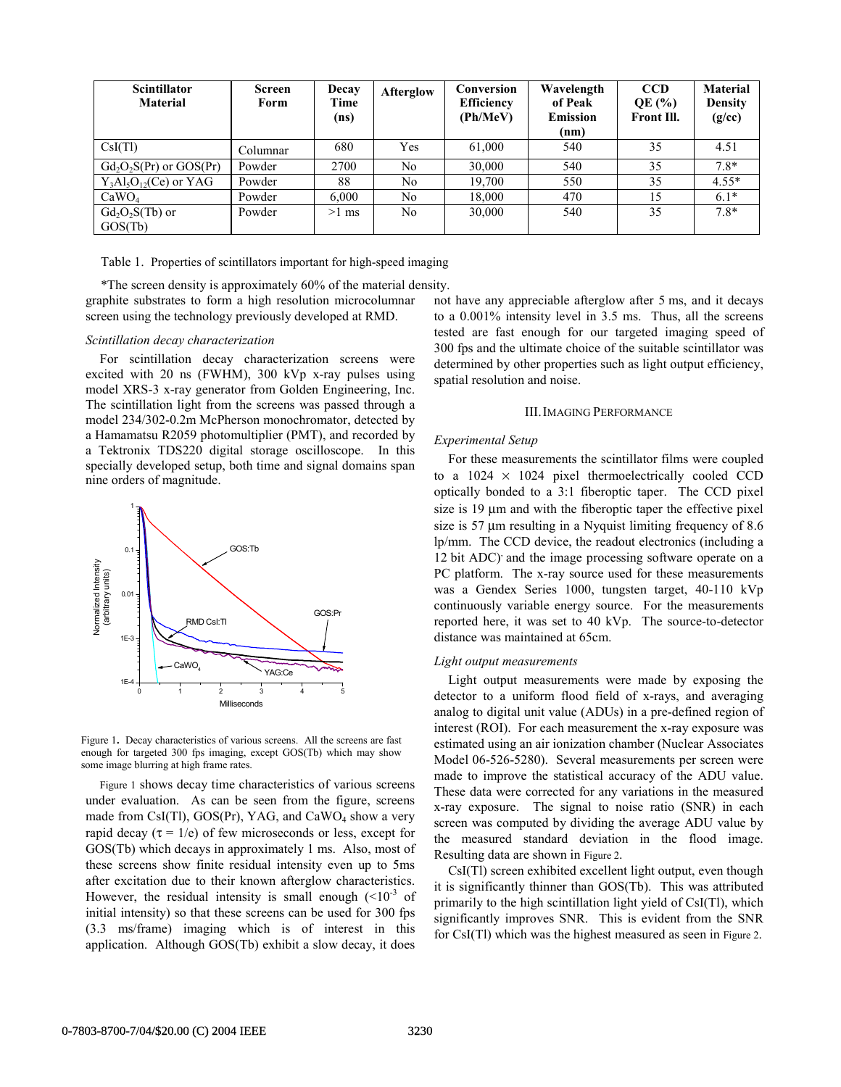| <b>Scintillator</b><br><b>Material</b> | Screen<br>Form | Decay<br>Time<br>(n <sub>s</sub> ) | <b>Afterglow</b> | Conversion<br><b>Efficiency</b><br>(Ph/MeV) | Wavelength<br>of Peak<br><b>Emission</b><br>(nm) | <b>CCD</b><br>OE(%)<br>Front III. | <b>Material</b><br><b>Density</b><br>(g/cc) |
|----------------------------------------|----------------|------------------------------------|------------------|---------------------------------------------|--------------------------------------------------|-----------------------------------|---------------------------------------------|
| CsI(Tl)                                | Columnar       | 680                                | Yes              | 61,000                                      | 540                                              | 35                                | 4.51                                        |
| $Gd_2O_2S(Pr)$ or $GOS(Pr)$            | Powder         | 2700                               | N <sub>0</sub>   | 30.000                                      | 540                                              | 35                                | $7.8*$                                      |
| $Y_3Al_5O_{12}(Ce)$ or YAG             | Powder         | 88                                 | No.              | 19.700                                      | 550                                              | 35                                | $4.55*$                                     |
| CaWO <sub>4</sub>                      | Powder         | 6.000                              | No               | 18.000                                      | 470                                              | 15                                | $6.1*$                                      |
| $Gd_2O_2S(Tb)$ or                      | Powder         | $>1$ ms                            | No               | 30,000                                      | 540                                              | 35                                | $7.8*$                                      |
| GOS(Tb)                                |                |                                    |                  |                                             |                                                  |                                   |                                             |

Table 1. Properties of scintillators important for high-speed imaging

graphite substrates to form a high resolution microcolumnar screen using the technology previously developed at RMD. \*The screen density is approximately 60% of the material density.

# *Scintillation decay characterization*

For scintillation decay characterization screens were excited with 20 ns (FWHM), 300 kVp x-ray pulses using model XRS-3 x-ray generator from Golden Engineering, Inc. The scintillation light from the screens was passed through a model 234/302-0.2m McPherson monochromator, detected by a Hamamatsu R2059 photomultiplier (PMT), and recorded by a Tektronix TDS220 digital storage oscilloscope. In this specially developed setup, both time and signal domains span nine orders of magnitude.



Figure 1**.** Decay characteristics of various screens. All the screens are fast enough for targeted 300 fps imaging, except GOS(Tb) which may show some image blurring at high frame rates.

Figure 1 shows decay time characteristics of various screens under evaluation. As can be seen from the figure, screens made from CsI(Tl),  $GOS(Pr)$ , YAG, and CaWO<sub>4</sub> show a very rapid decay ( $\tau = 1/e$ ) of few microseconds or less, except for GOS(Tb) which decays in approximately 1 ms. Also, most of these screens show finite residual intensity even up to 5ms after excitation due to their known afterglow characteristics. However, the residual intensity is small enough  $(<10^{-3}$  of initial intensity) so that these screens can be used for 300 fps (3.3 ms/frame) imaging which is of interest in this application. Although GOS(Tb) exhibit a slow decay, it does not have any appreciable afterglow after 5 ms, and it decays to a 0.001% intensity level in 3.5 ms. Thus, all the screens tested are fast enough for our targeted imaging speed of 300 fps and the ultimate choice of the suitable scintillator was determined by other properties such as light output efficiency, spatial resolution and noise.

#### III.IMAGING PERFORMANCE

#### *Experimental Setup*

For these measurements the scintillator films were coupled to a  $1024 \times 1024$  pixel thermoelectrically cooled CCD optically bonded to a 3:1 fiberoptic taper. The CCD pixel size is 19  $\mu$ m and with the fiberoptic taper the effective pixel size is 57 µm resulting in a Nyquist limiting frequency of 8.6 lp/mm. The CCD device, the readout electronics (including a 12 bit ADC) and the image processing software operate on a PC platform. The x-ray source used for these measurements was a Gendex Series 1000, tungsten target, 40-110 kVp continuously variable energy source. For the measurements reported here, it was set to 40 kVp. The source-to-detector distance was maintained at 65cm.

#### *Light output measurements*

Light output measurements were made by exposing the detector to a uniform flood field of x-rays, and averaging analog to digital unit value (ADUs) in a pre-defined region of interest (ROI). For each measurement the x-ray exposure was estimated using an air ionization chamber (Nuclear Associates Model 06-526-5280). Several measurements per screen were made to improve the statistical accuracy of the ADU value. These data were corrected for any variations in the measured x-ray exposure. The signal to noise ratio (SNR) in each screen was computed by dividing the average ADU value by the measured standard deviation in the flood image. Resulting data are shown in Figure 2.

CsI(Tl) screen exhibited excellent light output, even though it is significantly thinner than GOS(Tb). This was attributed primarily to the high scintillation light yield of CsI(Tl), which significantly improves SNR. This is evident from the SNR for CsI(Tl) which was the highest measured as seen in Figure 2.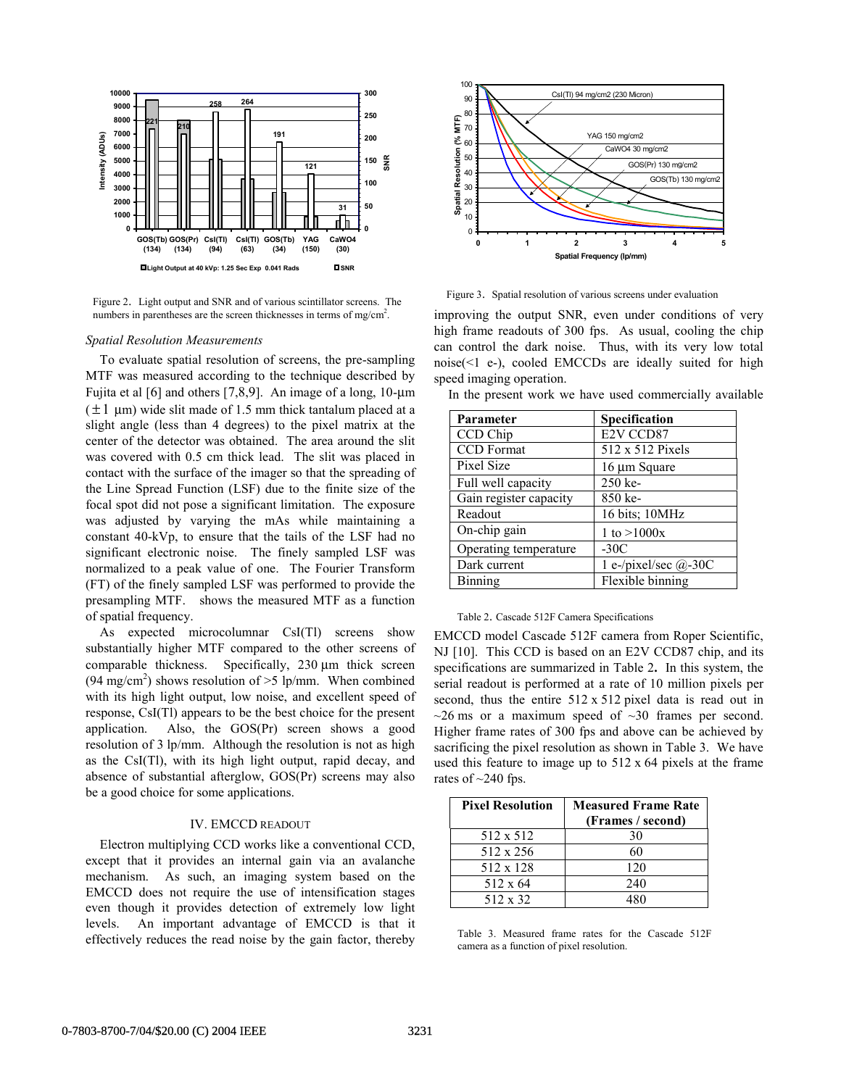

Figure 2. Light output and SNR and of various scintillator screens. The numbers in parentheses are the screen thicknesses in terms of mg/cm<sup>2</sup>.

#### *Spatial Resolution Measurements*

To evaluate spatial resolution of screens, the pre-sampling MTF was measured according to the technique described by Fujita et al [6] and others [7,8,9]. An image of a long, 10-µm  $(\pm 1 \mu m)$  wide slit made of 1.5 mm thick tantalum placed at a slight angle (less than 4 degrees) to the pixel matrix at the center of the detector was obtained. The area around the slit was covered with 0.5 cm thick lead. The slit was placed in contact with the surface of the imager so that the spreading of the Line Spread Function (LSF) due to the finite size of the focal spot did not pose a significant limitation. The exposure was adjusted by varying the mAs while maintaining a constant 40-kVp, to ensure that the tails of the LSF had no significant electronic noise. The finely sampled LSF was normalized to a peak value of one. The Fourier Transform (FT) of the finely sampled LSF was performed to provide the presampling MTF. shows the measured MTF as a function of spatial frequency.

As expected microcolumnar CsI(Tl) screens show substantially higher MTF compared to the other screens of comparable thickness. Specifically, 230 µm thick screen  $(94 \text{ mg/cm}^2)$  shows resolution of  $>5$  lp/mm. When combined with its high light output, low noise, and excellent speed of response, CsI(Tl) appears to be the best choice for the present application. Also, the GOS(Pr) screen shows a good resolution of 3 lp/mm. Although the resolution is not as high as the CsI(Tl), with its high light output, rapid decay, and absence of substantial afterglow, GOS(Pr) screens may also be a good choice for some applications.

# IV. EMCCD READOUT

Electron multiplying CCD works like a conventional CCD, except that it provides an internal gain via an avalanche mechanism. As such, an imaging system based on the EMCCD does not require the use of intensification stages even though it provides detection of extremely low light levels. An important advantage of EMCCD is that it effectively reduces the read noise by the gain factor, thereby



Figure 3. Spatial resolution of various screens under evaluation

improving the output SNR, even under conditions of very high frame readouts of 300 fps. As usual, cooling the chip can control the dark noise. Thus, with its very low total noise(<1 e-), cooled EMCCDs are ideally suited for high speed imaging operation.

In the present work we have used commercially available

| Parameter              | Specification           |
|------------------------|-------------------------|
| CCD Chip               | E2V CCD87               |
| CCD Format             | 512 x 512 Pixels        |
| Pixel Size             | 16 µm Square            |
| Full well capacity     | 250 ke-                 |
| Gain register capacity | 850 ke-                 |
| Readout                | 16 bits; 10MHz          |
| On-chip gain           | 1 to $>1000x$           |
| Operating temperature  | $-30C$                  |
| Dark current           | 1 e-/pixel/sec $@$ -30C |
| Binning                | Flexible binning        |

#### Table 2. Cascade 512F Camera Specifications

EMCCD model Cascade 512F camera from Roper Scientific, NJ [10]. This CCD is based on an E2V CCD87 chip, and its specifications are summarized in Table 2**.** In this system, the serial readout is performed at a rate of 10 million pixels per second, thus the entire 512 x 512 pixel data is read out in  $\sim$ 26 ms or a maximum speed of  $\sim$ 30 frames per second. Higher frame rates of 300 fps and above can be achieved by sacrificing the pixel resolution as shown in Table 3. We have used this feature to image up to 512 x 64 pixels at the frame rates of  $\sim$ 240 fps.

| <b>Pixel Resolution</b> | <b>Measured Frame Rate</b><br>(Frames / second) |
|-------------------------|-------------------------------------------------|
| 512 x 512               | 30                                              |
| 512 x 256               | 60                                              |
| 512 x 128               | 120                                             |
| 512 x 64                | 240                                             |
| 512 x 32                |                                                 |

Table 3. Measured frame rates for the Cascade 512F camera as a function of pixel resolution.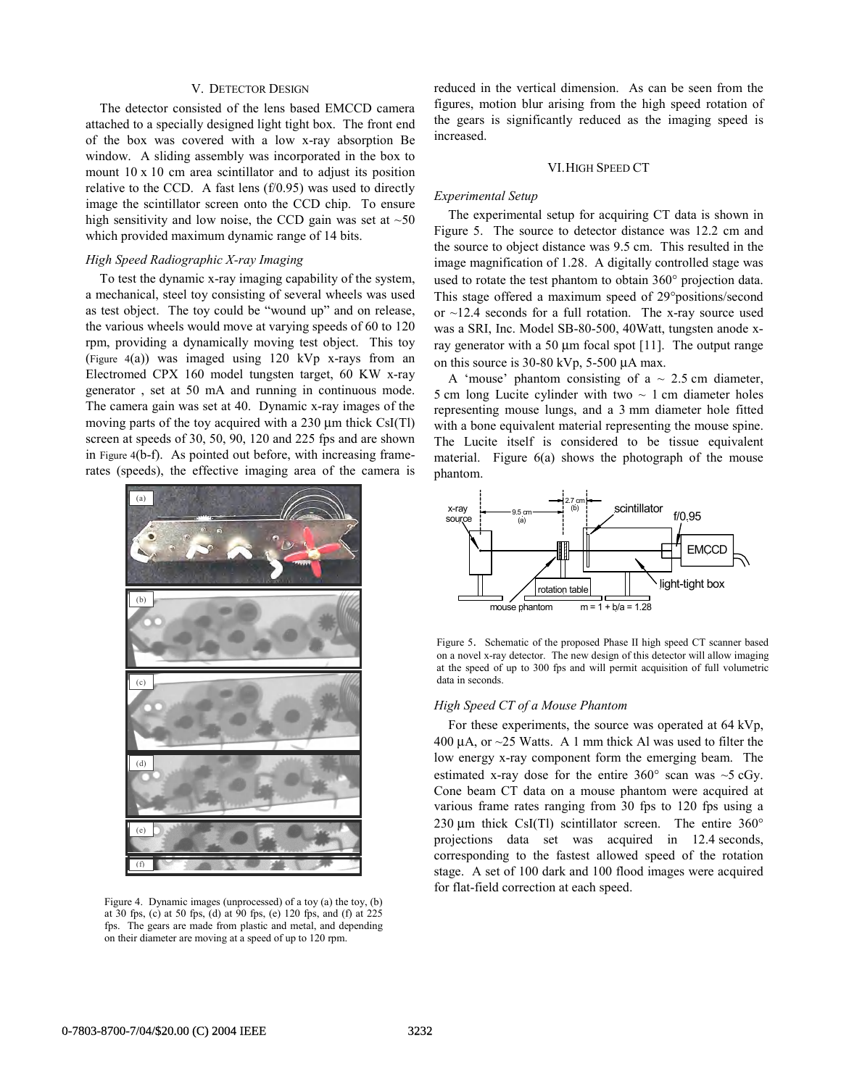## V. DETECTOR DESIGN

The detector consisted of the lens based EMCCD camera attached to a specially designed light tight box. The front end of the box was covered with a low x-ray absorption Be window. A sliding assembly was incorporated in the box to mount 10 x 10 cm area scintillator and to adjust its position relative to the CCD. A fast lens (f/0.95) was used to directly image the scintillator screen onto the CCD chip. To ensure high sensitivity and low noise, the CCD gain was set at  $~50$ which provided maximum dynamic range of 14 bits.

# *High Speed Radiographic X-ray Imaging*

To test the dynamic x-ray imaging capability of the system, a mechanical, steel toy consisting of several wheels was used as test object. The toy could be "wound up" and on release, the various wheels would move at varying speeds of 60 to 120 rpm, providing a dynamically moving test object. This toy (Figure 4(a)) was imaged using 120 kVp x-rays from an Electromed CPX 160 model tungsten target, 60 KW x-ray generator , set at 50 mA and running in continuous mode. The camera gain was set at 40. Dynamic x-ray images of the moving parts of the toy acquired with a  $230 \mu m$  thick CsI(Tl) screen at speeds of 30, 50, 90, 120 and 225 fps and are shown in Figure 4(b-f). As pointed out before, with increasing framerates (speeds), the effective imaging area of the camera is



Figure 4. Dynamic images (unprocessed) of a toy (a) the toy, (b) at 30 fps, (c) at 50 fps, (d) at  $90$  fps, (e) 120 fps, and (f) at  $225$ fps. The gears are made from plastic and metal, and depending on their diameter are moving at a speed of up to 120 rpm.

reduced in the vertical dimension. As can be seen from the figures, motion blur arising from the high speed rotation of the gears is significantly reduced as the imaging speed is increased.

# VI.HIGH SPEED CT

# *Experimental Setup*

The experimental setup for acquiring CT data is shown in Figure 5. The source to detector distance was 12.2 cm and the source to object distance was 9.5 cm. This resulted in the image magnification of 1.28. A digitally controlled stage was used to rotate the test phantom to obtain 360° projection data. This stage offered a maximum speed of 29°positions/second or  $\sim$ 12.4 seconds for a full rotation. The x-ray source used was a SRI, Inc. Model SB-80-500, 40Watt, tungsten anode xray generator with a 50  $\mu$ m focal spot [11]. The output range on this source is 30-80 kVp, 5-500 µA max.

A 'mouse' phantom consisting of  $a \sim 2.5$  cm diameter, 5 cm long Lucite cylinder with two  $\sim$  1 cm diameter holes representing mouse lungs, and a 3 mm diameter hole fitted with a bone equivalent material representing the mouse spine. The Lucite itself is considered to be tissue equivalent material. Figure 6(a) shows the photograph of the mouse phantom.



Figure 5. Schematic of the proposed Phase II high speed CT scanner based on a novel x-ray detector. The new design of this detector will allow imaging at the speed of up to 300 fps and will permit acquisition of full volumetric data in seconds.

# *High Speed CT of a Mouse Phantom*

For these experiments, the source was operated at 64 kVp, 400  $\mu$ A, or  $\sim$ 25 Watts. A 1 mm thick Al was used to filter the low energy x-ray component form the emerging beam. The estimated x-ray dose for the entire  $360^{\circ}$  scan was  $\sim$ 5 cGy. Cone beam CT data on a mouse phantom were acquired at various frame rates ranging from 30 fps to 120 fps using a 230  $\mu$ m thick CsI(Tl) scintillator screen. The entire 360° projections data set was acquired in 12.4 seconds, corresponding to the fastest allowed speed of the rotation stage. A set of 100 dark and 100 flood images were acquired for flat-field correction at each speed.